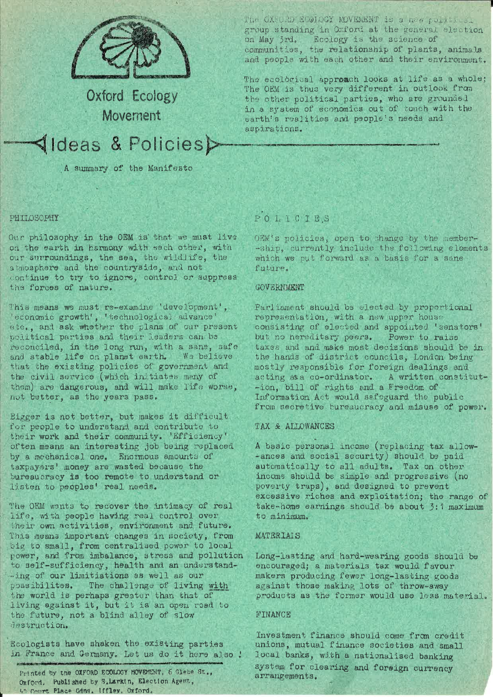

Oxford Ecology Movement

# **√Ideas & Policies>**

A summary of the Manifesto

PHILOSOPHY

Our philosophy in the OEM is that we must live on the earth in harmony with each other, with our surroundings, the sea, the wildlife, the atmosphere and the countryside, and not continue to try to ignore, control or suppress the forces of nature.

This means we must re-examine 'development', 'economic growth', 'technological advance' etc., and ask whether the plans of our present political parties and their leaders can be reconciled, in the long run, with a sane, safe and stable life on planet earth. We believe that the existing policies of government and the civil service (which initiates many of them) are dangerous, and will make Tife worse, not better, as the years pass.

Bigger is not better, but makes it difficult for people to understand and contribute to their work and their community. 'Efficiency' often means an interesting job being replaced by a mechanical one. Enormous amounts of taxpayers' money are wasted because the bureaucracy is too remote to understand or listen to peoples' real needs.

The OEM wants to recover the intimacy of real life, with people having real control over their own activities, environment and future. This means important changes in society, from big to small, from centralised power to local power, and from imbalance, stress and pollution to self-sufficiency, health and an understand--ing of our limitiations as well as our possibilites. The challenge of living with the world is perhaps greater than that of living against it, but it is an open road to the future, not a blind alley of slow destruction.

Ecologists have shaken the existing parties in France and Germany. Let us do it here also !

Printed by the OXFORD ECOLOGY MOVEMENT, 6 Glabs St., Oxford. Published by S. Larkin, Election Agent, We Court Place Gdns, Iffley, Oxford,

The OXSORD ECOLOGY MOVEMENT is a new political group standing in Oxford at the general election on May 3rd. Ecology is the science of communities, the relationship of plants, animals and people with each other and their environment.

The ecological approach looks at life as a whole: The OEM is thus very different in outlook from the other political parties, who are grounded in a system of economics out of touch with the earth's realities and people's needs and aspirations.

# POLICIES

OEM's policies, open to change by the member--ship, currently include the following elements which we put forward as a basis for a sane future.

#### **GOVERTMENT**

Parliament should be elected by proportional representation, with a new upper house consisting of elected and appointed 'senators' but no hereditary peers. Power to raise taxes and and make most decisions should be in the hands of district councils, London being mostly responsible for foreign dealings and acting as a co-ordinator. A written constitut--ion, bill of rights and a Freedom of Information Act would safeguard the public from secretive bureaucracy and misuse of power.

# TAX & ALLOWANCES

A basic personal income (replacing tax allow--ances and social security) should be paid automatically to all adults. Tax on other income should be simple and progressive (no poverty traps), and designed to prevent excessive riches and exploitation; the range of take-home earnings should be about 3:1 maximum to minimum.

# **MATERIAIS**

Long-lasting and hard-wearing goods should be encouraged; a materials tax would favour makers producing fewer long-lasting goods against those making lots of throw-away products as the former would use less material.

#### FINANCE

Investment finance should come from credit unions, mutual finance societies and small local banks, with a nationalised banking system for clearing and foreign currency arrangements.